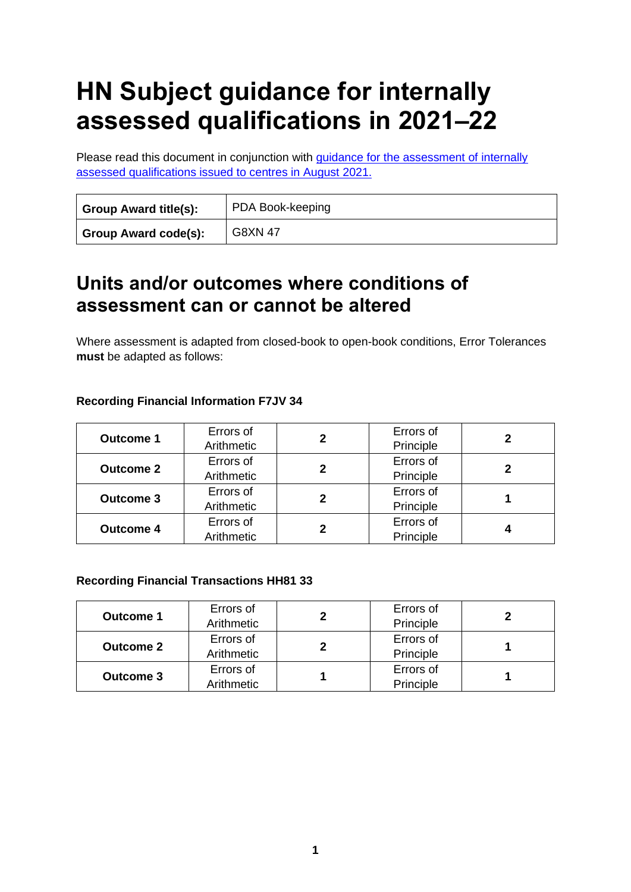# **HN Subject guidance for internally assessed qualifications in 2021–22**

Please read this document in conjunction with quidance for the assessment of internally [assessed qualifications issued to centres in August 2021.](https://www.sqa.org.uk/sqa/95044.html)

| <b>Group Award title(s):</b> | PDA Book-keeping |  |  |
|------------------------------|------------------|--|--|
| <b>Group Award code(s):</b>  | <b>G8XN 47</b>   |  |  |

### **Units and/or outcomes where conditions of assessment can or cannot be altered**

Where assessment is adapted from closed-book to open-book conditions, Error Tolerances **must** be adapted as follows:

|  | <b>Recording Financial Information F7JV 34</b> |
|--|------------------------------------------------|
|--|------------------------------------------------|

| <b>Outcome 1</b> | Errors of<br>Arithmetic | 2 | Errors of<br>Principle |  |
|------------------|-------------------------|---|------------------------|--|
| <b>Outcome 2</b> | Errors of<br>Arithmetic | 2 | Errors of<br>Principle |  |
| <b>Outcome 3</b> | Errors of<br>Arithmetic | 2 | Errors of<br>Principle |  |
| <b>Outcome 4</b> | Errors of<br>Arithmetic |   | Errors of<br>Principle |  |

#### **Recording Financial Transactions HH81 33**

| <b>Outcome 1</b> | Errors of<br>Arithmetic | Errors of<br>Principle |  |
|------------------|-------------------------|------------------------|--|
| <b>Outcome 2</b> | Errors of<br>Arithmetic | Errors of<br>Principle |  |
| <b>Outcome 3</b> | Errors of<br>Arithmetic | Errors of<br>Principle |  |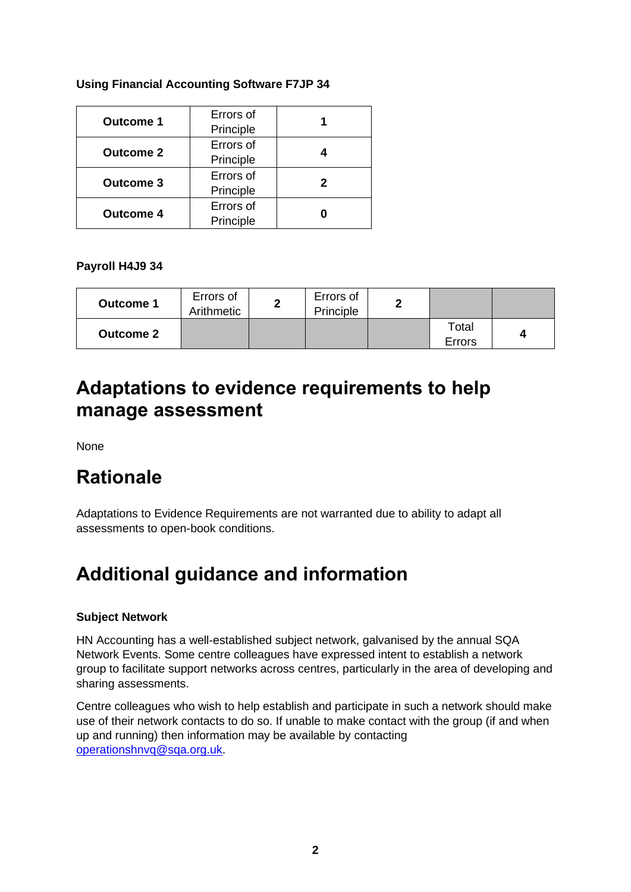| <b>Using Financial Accounting Software F7JP 34</b> |  |  |
|----------------------------------------------------|--|--|
|                                                    |  |  |

| <b>Outcome 1</b> | Errors of<br>Principle |  |
|------------------|------------------------|--|
| <b>Outcome 2</b> | Errors of<br>Principle |  |
| <b>Outcome 3</b> | Errors of<br>Principle |  |
| <b>Outcome 4</b> | Errors of<br>Principle |  |

**Payroll H4J9 34**

| <b>Outcome 1</b> | Errors of<br>Arithmetic | Errors of<br>Principle | ◠ |                 |  |
|------------------|-------------------------|------------------------|---|-----------------|--|
| <b>Outcome 2</b> |                         |                        |   | Total<br>Errors |  |

### **Adaptations to evidence requirements to help manage assessment**

None

## **Rationale**

Adaptations to Evidence Requirements are not warranted due to ability to adapt all assessments to open-book conditions.

# **Additional guidance and information**

#### **Subject Network**

HN Accounting has a well-established subject network, galvanised by the annual SQA Network Events. Some centre colleagues have expressed intent to establish a network group to facilitate support networks across centres, particularly in the area of developing and sharing assessments.

Centre colleagues who wish to help establish and participate in such a network should make use of their network contacts to do so. If unable to make contact with the group (if and when up and running) then information may be available by contacting [operationshnvq@sqa.org.uk.](mailto:operationshnvq@sqa.org.uk)